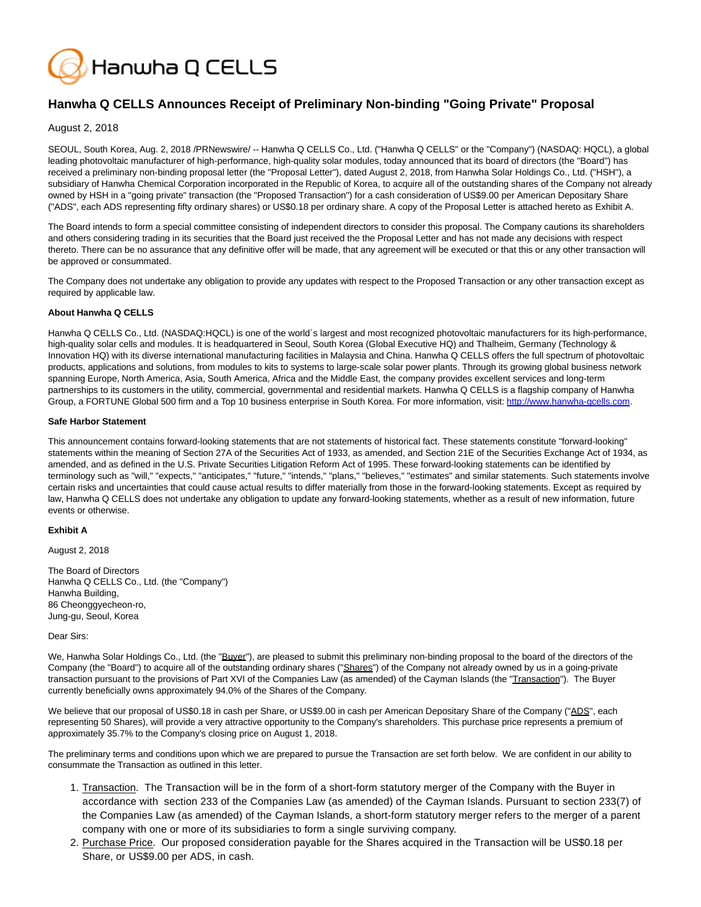

# **Hanwha Q CELLS Announces Receipt of Preliminary Non-binding "Going Private" Proposal**

August 2, 2018

SEOUL, South Korea, Aug. 2, 2018 /PRNewswire/ -- Hanwha Q CELLS Co., Ltd. ("Hanwha Q CELLS" or the "Company") (NASDAQ: HQCL), a global leading photovoltaic manufacturer of high-performance, high-quality solar modules, today announced that its board of directors (the "Board") has received a preliminary non-binding proposal letter (the "Proposal Letter"), dated August 2, 2018, from Hanwha Solar Holdings Co., Ltd. ("HSH"), a subsidiary of Hanwha Chemical Corporation incorporated in the Republic of Korea, to acquire all of the outstanding shares of the Company not already owned by HSH in a "going private" transaction (the "Proposed Transaction") for a cash consideration of US\$9.00 per American Depositary Share ("ADS", each ADS representing fifty ordinary shares) or US\$0.18 per ordinary share. A copy of the Proposal Letter is attached hereto as Exhibit A.

The Board intends to form a special committee consisting of independent directors to consider this proposal. The Company cautions its shareholders and others considering trading in its securities that the Board just received the the Proposal Letter and has not made any decisions with respect thereto. There can be no assurance that any definitive offer will be made, that any agreement will be executed or that this or any other transaction will be approved or consummated.

The Company does not undertake any obligation to provide any updates with respect to the Proposed Transaction or any other transaction except as required by applicable law.

### **About Hanwha Q CELLS**

Hanwha Q CELLS Co., Ltd. (NASDAQ:HQCL) is one of the world´s largest and most recognized photovoltaic manufacturers for its high-performance, high-quality solar cells and modules. It is headquartered in Seoul, South Korea (Global Executive HQ) and Thalheim, Germany (Technology & Innovation HQ) with its diverse international manufacturing facilities in Malaysia and China. Hanwha Q CELLS offers the full spectrum of photovoltaic products, applications and solutions, from modules to kits to systems to large-scale solar power plants. Through its growing global business network spanning Europe, North America, Asia, South America, Africa and the Middle East, the company provides excellent services and long-term partnerships to its customers in the utility, commercial, governmental and residential markets. Hanwha Q CELLS is a flagship company of Hanwha Group, a FORTUNE Global 500 firm and a Top 10 business enterprise in South Korea. For more information, visit: [http://www.hanwha-qcells.com.](http://www.hanwha-qcells.com/)

#### **Safe Harbor Statement**

This announcement contains forward-looking statements that are not statements of historical fact. These statements constitute "forward-looking" statements within the meaning of Section 27A of the Securities Act of 1933, as amended, and Section 21E of the Securities Exchange Act of 1934, as amended, and as defined in the U.S. Private Securities Litigation Reform Act of 1995. These forward-looking statements can be identified by terminology such as "will," "expects," "anticipates," "future," "intends," "plans," "believes," "estimates" and similar statements. Such statements involve certain risks and uncertainties that could cause actual results to differ materially from those in the forward-looking statements. Except as required by law, Hanwha Q CELLS does not undertake any obligation to update any forward-looking statements, whether as a result of new information, future events or otherwise.

## **Exhibit A**

August 2, 2018

The Board of Directors Hanwha Q CELLS Co., Ltd. (the "Company") Hanwha Building, 86 Cheonggyecheon-ro, Jung-gu, Seoul, Korea

## Dear Sirs:

We, Hanwha Solar Holdings Co., Ltd. (the "Buyer"), are pleased to submit this preliminary non-binding proposal to the board of the directors of the Company (the "Board") to acquire all of the outstanding ordinary shares ("Shares") of the Company not already owned by us in a going-private transaction pursuant to the provisions of Part XVI of the Companies Law (as amended) of the Cayman Islands (the "Transaction"). The Buyer currently beneficially owns approximately 94.0% of the Shares of the Company.

We believe that our proposal of US\$0.18 in cash per Share, or US\$9.00 in cash per American Depositary Share of the Company ("ADS", each representing 50 Shares), will provide a very attractive opportunity to the Company's shareholders. This purchase price represents a premium of approximately 35.7% to the Company's closing price on August 1, 2018.

The preliminary terms and conditions upon which we are prepared to pursue the Transaction are set forth below. We are confident in our ability to consummate the Transaction as outlined in this letter.

- 1. Transaction. The Transaction will be in the form of a short-form statutory merger of the Company with the Buyer in accordance with section 233 of the Companies Law (as amended) of the Cayman Islands. Pursuant to section 233(7) of the Companies Law (as amended) of the Cayman Islands, a short-form statutory merger refers to the merger of a parent company with one or more of its subsidiaries to form a single surviving company.
- 2. Purchase Price. Our proposed consideration payable for the Shares acquired in the Transaction will be US\$0.18 per Share, or US\$9.00 per ADS, in cash.